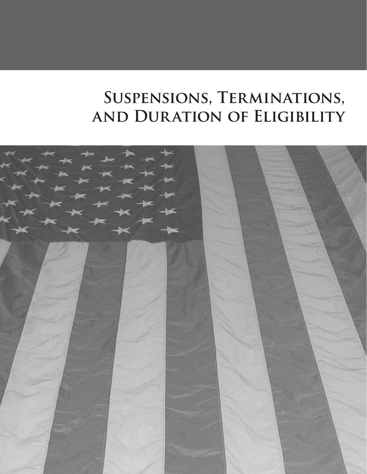# **Suspensions, Terminations, and Duration of Eligibility**

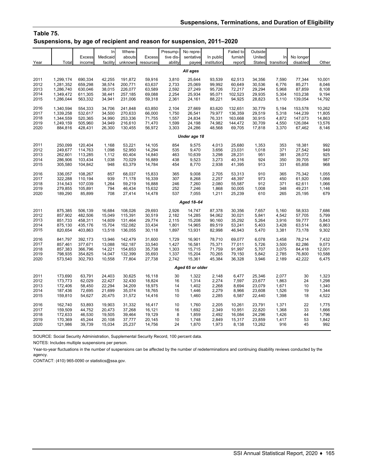### **Table 75. Suspensions, by age of recipient and reason for suspension, 2011–2020**

| Year         | Total     | <b>Excess</b><br>income | In<br>Medicaid<br>facility | Where-<br>abouts<br>unknown | <b>Excess</b><br>resources | Presump-<br>tive dis-<br>ability | No repre-<br>sentative<br>payee | In public<br>institution | Failed to<br>furnish<br>report | Outside<br>United<br><b>States</b> | In<br>transition | No longer<br>disabled | Other  |
|--------------|-----------|-------------------------|----------------------------|-----------------------------|----------------------------|----------------------------------|---------------------------------|--------------------------|--------------------------------|------------------------------------|------------------|-----------------------|--------|
|              |           |                         |                            |                             |                            |                                  | All ages                        |                          |                                |                                    |                  |                       |        |
| 2011         | 1,299,174 | 690,334                 | 42,255                     | 191,872                     | 59,916                     | 3,810                            | 25,644                          | 93,539                   | 62,513                         | 34,356                             | 7,590            | 77,344                | 10,001 |
| 2012         | 1,281,352 | 659,298                 | 38,574                     | 200,771                     | 63,637                     | 2,733                            | 25,069                          | 99,992                   | 60,649                         | 30,536                             | 6,776            | 85,271                | 8,046  |
| 2013         | 1,286,740 | 630,046                 | 38,015                     | 226,077                     | 63,589                     | 2,592                            | 27,249                          | 95,726                   | 72,217                         | 29,294                             | 5,968            | 87,859                | 8,108  |
| 2014         | 1,349,472 | 611,305                 | 38,441                     | 257,185                     | 69,088                     | 2,254                            | 25,934                          | 95,071                   | 102,523                        | 29,935                             | 5,304            | 103,238               | 9,194  |
| 2015         | 1,286,044 | 563,332                 | 34,941                     | 231,006                     | 59,318                     | 2,361                            | 24,161                          | 88,221                   | 94,925                         | 28,823                             | 5,110            | 139,054               | 14,792 |
| 2016         | 1,340,594 | 554,333                 | 34,706                     | 241,848                     | 63,850                     | 2,104                            | 27,669                          | 83,620                   | 132,651                        | 30,779                             | 5,194            | 153,578               | 10,262 |
| 2017         | 1,339,258 | 532,617                 | 34,500                     | 270,633                     | 66,000                     | 1,750                            | 26,541                          | 79,977                   | 136,359                        | 29,519                             | 5,318            | 144,239               | 11,805 |
| 2018         | 1,344,559 | 520,365                 | 34,990                     | 253,336                     | 71,755                     | 1,557                            | 24,834                          | 76,331                   | 163,668                        | 30,915                             | 4,872            | 147,073               | 14,863 |
| 2019         | 1,249,159 | 505,960                 | 34,949                     | 216,610                     | 71,470                     | 1,599                            | 24,198                          | 74,982                   | 144,472                        | 30,709                             | 4,550            | 126,084               | 13,576 |
| 2020         | 884,816   | 428,431                 | 26,300                     | 130,455                     | 56,972                     | 3,303                            | 24,286                          | 48,568                   | 69,705                         | 17,818                             | 3,370            | 67,462                | 8,146  |
| Under age 18 |           |                         |                            |                             |                            |                                  |                                 |                          |                                |                                    |                  |                       |        |
| 2011         | 250,099   | 120,404                 | 1,168                      | 53,221                      | 14,105                     | 854                              | 9,575                           | 4,013                    | 25,680                         | 1,353                              | 353              | 18,381                | 992    |
| 2012         | 249,677   | 114,763                 | 1,098                      | 52,950                      | 14,294                     | 535                              | 9,470                           | 3,656                    | 23,031                         | 1,018                              | 371              | 27,542                | 949    |
| 2013         | 262,601   | 113,285                 | 1,112                      | 60,404                      | 14,840                     | 463                              | 10,639                          | 3,298                    | 28,231                         | 951                                | 381              | 28,072                | 925    |
| 2014         | 286,906   | 103,434                 | 1,038                      | 70,029                      | 16,889                     | 438                              | 9,523                           | 3,273                    | 40,316                         | 924                                | 350              | 39,705                | 987    |
| 2015         | 305,580   | 104,842                 | 948                        | 63,379                      | 14,784                     | 454                              | 8,770                           | 2,938                    | 41,395                         | 913                                | 331              | 65,858                | 968    |
| 2016         | 336,057   | 108,267                 | 857                        | 68,037                      | 15,833                     | 365                              | 9.008                           | 2,705                    | 53,313                         | 910                                | 365              | 75,342                | 1,055  |
| 2017         | 322,288   | 110,194                 | 939                        | 71.178                      | 16,339                     | 307                              | 8,268                           | 2,257                    | 48,397                         | 973                                | 450              | 61,920                | 1,066  |
| 2018         | 314,543   | 107,039                 | 1,264                      | 59,219                      | 16,888                     | 246                              | 7,260                           | 2,080                    | 55,587                         | 912                                | 371              | 62,611                | 1,066  |
| 2019         | 279,855   | 105,891                 | 794                        | 46,434                      | 15,632                     | 252                              | 7,246                           | 1,868                    | 50,005                         | 1,008                              | 348              | 49,231                | 1,146  |
| 2020         | 189,290   | 85,899                  | 708                        | 27,414                      | 14,478                     | 537                              | 7,055                           | 1,211                    | 25,239                         | 610                                | 265              | 25,195                | 679    |
|              |           |                         |                            |                             |                            |                                  | Aged 18-64                      |                          |                                |                                    |                  |                       |        |
| 2011         | 875,385   | 506,139                 | 16,684                     | 108,026                     | 29,693                     | 2,926                            | 14,747                          | 87,378                   | 30,356                         | 7,657                              | 5,160            | 58,933                | 7,686  |
| 2012         | 857,902   | 482,506                 | 15,049                     | 115,391                     | 30,519                     | 2,182                            | 14,285                          | 94,062                   | 30,021                         | 5,841                              | 4,542            | 57,705                | 5,799  |
| 2013         | 851,733   | 458,311                 | 14,609                     | 131,464                     | 29,774                     | 2,115                            | 15,208                          | 90,160                   | 35,292                         | 5,264                              | 3,916            | 59,777                | 5,843  |
| 2014         | 875,130   | 435,176                 | 15,704                     | 152,082                     | 33,434                     | 1,801                            | 14,965                          | 89,519                   | 53,241                         | 5,403                              | 3,428            | 63,514                | 6,863  |
| 2015         | 820,654   | 403,863                 | 13,518                     | 136,055                     | 30,118                     | 1,897                            | 13,931                          | 82,998                   | 46,943                         | 5,470                              | 3,381            | 73,178                | 9,302  |
| 2016         | 841,797   | 392,173                 | 13,946                     | 142,479                     | 31,600                     | 1,729                            | 16,901                          | 78,710                   | 69,077                         | 6,078                              | 3,458            | 78,214                | 7,432  |
| 2017         | 857,461   | 377,671                 | 13,088                     | 162,187                     | 33,540                     | 1,427                            | 16,581                          | 75,371                   | 77,011                         | 5,726                              | 3,500            | 82,286                | 9,073  |
| 2018         | 857,383   | 366,796                 | 14,221                     | 154,653                     | 35,738                     | 1,303                            | 15,715                          | 71,759                   | 91,997                         | 5,707                              | 3,075            | 84,418                | 12,001 |
| 2019         | 798,935   | 354,825                 | 14,047                     | 132,399                     | 35,693                     | 1,337                            | 15,204                          | 70,265                   | 79,150                         | 5,842                              | 2,785            | 76,800                | 10,588 |
| 2020         | 573,540   | 302,793                 | 10,558                     | 77,804                      | 27,738                     | 2,742                            | 15,361                          | 45,384                   | 36,328                         | 3,946                              | 2,189            | 42,222                | 6,475  |
|              |           |                         |                            |                             |                            |                                  | Aged 65 or older                |                          |                                |                                    |                  |                       |        |
| 2011         | 173,690   | 63,791                  | 24,403                     | 30,625                      | 16,118                     | 30                               | 1,322                           | 2,148                    | 6,477                          | 25,346                             | 2,077            | 30                    | 1,323  |
| 2012         | 173,773   | 62,029                  | 22,427                     | 32,430                      | 18,824                     | 16                               | 1,314                           | 2,274                    | 7,597                          | 23,677                             | 1,863            | 24                    | 1,298  |
| 2013         | 172,406   | 58,450                  | 22,294                     | 34,209                      | 18,975                     | 14                               | 1,402                           | 2,268                    | 8,694                          | 23,079                             | 1,671            | 10                    | 1,340  |
| 2014         | 187,436   | 72,695                  | 21,699                     | 35,074                      | 18,765                     | 15                               | 1,446                           | 2,279                    | 8,966                          | 23,608                             | 1,526            | 19                    | 1,344  |
| 2015         | 159,810   | 54,627                  | 20,475                     | 31,572                      | 14,416                     | 10                               | 1,460                           | 2,285                    | 6,587                          | 22,440                             | 1,398            | 18                    | 4,522  |
| 2016         | 162,740   | 53,893                  | 19,903                     | 31,332                      | 16,417                     | 10                               | 1,760                           | 2,205                    | 10,261                         | 23,791                             | 1,371            | 22                    | 1,775  |
| 2017         | 159,509   | 44,752                  | 20,473                     | 37,268                      | 16,121                     | 16                               | 1,692                           | 2,349                    | 10,951                         | 22,820                             | 1,368            | 33                    | 1,666  |
| 2018         | 172,633   | 46,530                  | 19,505                     | 39,464                      | 19,129                     | 8                                | 1,859                           | 2,492                    | 16,084                         | 24,296                             | 1,426            | 44                    | 1,796  |
| 2019         | 170,369   | 45,244                  | 20,108                     | 37,777                      | 20,145                     | 10                               | 1,748                           | 2,849                    | 15,317                         | 23,859                             | 1,417            | 53                    | 1,842  |
| 2020         | 121,986   | 39,739                  | 15,034                     | 25,237                      | 14,756                     | 24                               | 1,870                           | 1,973                    | 8,138                          | 13,262                             | 916              | 45                    | 992    |

SOURCE: Social Security Administration, Supplemental Security Record, 100 percent data.

NOTES: Includes multiple suspensions per person.

Year-to-year fluctuations in the number of suspensions can be affected by the number of redeterminations and continuing disability reviews conducted by the agency.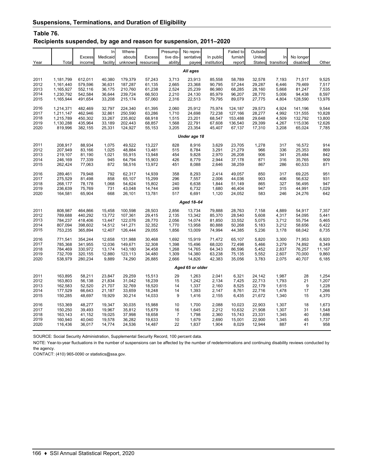## **Table 76.**

#### **Recipients suspended, by age and reason for suspension, 2011–2020**

|              |           | <b>Excess</b> | In<br>Medicaid | Where-<br>abouts | <b>Excess</b> | Presump-<br>tive dis- | No repre-<br>sentative | In public   | Failed to<br>furnish | Outside<br>United | In         | No longer |        |
|--------------|-----------|---------------|----------------|------------------|---------------|-----------------------|------------------------|-------------|----------------------|-------------------|------------|-----------|--------|
| Year         | Total     | income        | facility       | unknown          | resources     | ability               | payee                  | institution | report               | <b>States</b>     | transition | disabled  | Other  |
|              |           |               |                |                  |               |                       | All ages               |             |                      |                   |            |           |        |
| 2011         | 1,181,799 | 612,011       | 40,380         | 179,379          | 57,243        | 3,713                 | 23,913                 | 85,558      | 58,789               | 32,578            | 7,193      | 71,517    | 9,525  |
| 2012         | 1,161,440 | 579,596       | 36,631         | 187,287          | 61,135        | 2,665                 | 23,368                 | 90,795      | 57,244               | 29,287            | 6,446      | 79,469    | 7,517  |
| 2013         | 1,165,927 | 552,116       | 36,175         | 210,760          | 61,238        | 2,524                 | 25,239                 | 86,980      | 68,285               | 28,160            | 5,668      | 81,247    | 7,535  |
| 2014         | 1,230,792 | 542,584       | 36,644         | 239,724          | 66,503        | 2,210                 | 24,130                 | 85,979      | 96,207               | 28,770            | 5,006      | 94,438    | 8,597  |
| 2015         | 1,165,944 | 491,654       | 33,208         | 215,174          | 57,060        | 2,316                 | 22,513                 | 79,795      | 89,079               | 27,775            | 4,804      | 128,590   | 13,976 |
| 2016         | 1,214,371 | 482,469       | 32,797         | 224,340          | 61,395        | 2,060                 | 25,912                 | 75,974      | 124,187              | 29,573            | 4,924      | 141,196   | 9,544  |
| 2017         | 1,211,147 | 462,946       | 32,861         | 250,590          | 63,286        | 1,710                 | 24,698                 | 72,238      | 127,166              | 28,277            | 4,992      | 131,555   | 10,828 |
| 2018         | 1,215,789 | 450,302       | 33,267         | 235,802          | 68,918        | 1,515                 | 23,201                 | 68,547      | 153,488              | 29,648            | 4,509      | 132,792   | 13,800 |
| 2019         | 1,130,288 | 435,964       | 33,189         | 202,443          | 68,857        | 1,568                 | 22,791                 | 67,608      | 136,540              | 29,399            | 4,267      | 115,036   | 12,626 |
| 2020         | 819,996   | 382,155       | 25,331         | 124,927          | 55,153        | 3,205                 | 23,354                 | 45,407      | 67,137               | 17,310            | 3,208      | 65,024    | 7,785  |
| Under age 18 |           |               |                |                  |               |                       |                        |             |                      |                   |            |           |        |
| 2011         | 208,917   | 88,934        | 1,075          | 49,522           | 13,227        | 828                   | 8,916                  | 3,629       | 23,705               | 1,278             | 317        | 16,572    | 914    |
| 2012         | 207,949   | 83,166        | 1,025          | 48,884           | 13,481        | 515                   | 8,784                  | 3,291       | 21,279               | 966               | 336        | 25,353    | 869    |
| 2013         | 219,107   | 81,190        | 1,021          | 55,915           | 13,948        | 454                   | 9,828                  | 2,970       | 26,208               | 906               | 341        | 25,484    | 842    |
| 2014         | 246,169   | 77,339        | 945            | 64,794           | 15,903        | 426                   | 8,779                  | 2,944       | 37,178               | 871               | 316        | 35,765    | 909    |
| 2015         | 262,424   | 77,063        | 872            | 58,516           | 13,972        | 451                   | 8,088                  | 2,646       | 38,259               | 867               | 286        | 60,533    | 871    |
| 2016         | 289,461   | 79,948        | 792            | 62,317           | 14,939        | 358                   | 8,293                  | 2,414       | 49,057               | 850               | 317        | 69,225    | 951    |
| 2017         | 275,529   | 81,498        | 858            | 65,107           | 15,299        | 296                   | 7,557                  | 2,006       | 44,036               | 903               | 406        | 56,632    | 931    |
| 2018         | 268,177   | 78,178        | 1,068          | 54,624           | 15,802        | 240                   | 6,638                  | 1,844       | 51,149               | 865               | 327        | 56,495    | 947    |
| 2019         | 236,639   | 75,769        | 731            | 43,048           | 14,744        | 249                   | 6,732                  | 1,680       | 46,404               | 947               | 315        | 44,991    | 1,029  |
| 2020         | 164,581   | 65,904        | 668            | 26,101           | 13,781        | 517                   | 6,691                  | 1,120       | 24,052               | 583               | 246        | 24,276    | 642    |
|              |           |               |                |                  |               |                       | Aged 18-64             |             |                      |                   |            |           |        |
| 2011         | 808,987   | 464,866       | 15,458         | 100,598          | 28,503        | 2,856                 | 13,734                 | 79,888      | 28,763               | 7,158             | 4,889      | 54,917    | 7,357  |
| 2012         | 789,688   | 440,292       | 13,772         | 107,361          | 29,415        | 2,135                 | 13,342                 | 85,370      | 28,540               | 5,608             | 4,317      | 54,095    | 5,441  |
| 2013         | 784,237   | 418,406       | 13,447         | 122,076          | 28,770        | 2,056                 | 14,074                 | 81,850      | 33,552               | 5,075             | 3,712      | 55,754    | 5,465  |
| 2014         | 807,094   | 398,602       | 14,512         | 141,271          | 32,352        | 1,770                 | 13,958                 | 80,888      | 50,268               | 5,183             | 3,212      | 58,656    | 6,422  |
| 2015         | 753,235   | 365,894       | 12,407         | 126,444          | 29,055        | 1,856                 | 13,009                 | 74,994      | 44,385               | 5,236             | 3,178      | 68,042    | 8,735  |
| 2016         | 771,541   | 354,244       | 12,658         | 131.988          | 30.468        | 1,692                 | 15,919                 | 71.472      | 65,107               | 5,820             | 3,300      | 71.953    | 6,920  |
| 2017         | 785,368   | 341,955       | 12,036         | 149,671          | 32,308        | 1,398                 | 15,496                 | 68,020      | 72,498               | 5,466             | 3,279      | 74,892    | 8,349  |
| 2018         | 784,469   | 330,972       | 13,174         | 143,180          | 34,458        | 1,268                 | 14,765                 | 64,343      | 86,596               | 5,452             | 2,837      | 76,257    | 11,167 |
| 2019         | 732,709   | 320,155       | 12,880         | 123,113          | 34,480        | 1,309                 | 14,380                 | 63,238      | 75,135               | 5,552             | 2,607      | 70,000    | 9,860  |
| 2020         | 538,979   | 280,234       | 9,889          | 74,290           | 26,885        | 2,666                 | 14,826                 | 42,383      | 35,056               | 3,783             | 2,075      | 40,707    | 6,185  |
|              |           |               |                |                  |               |                       | Aged 65 or older       |             |                      |                   |            |           |        |
| 2011         | 163,895   | 58,211        | 23,847         | 29,259           | 15,513        | 29                    | 1,263                  | 2,041       | 6,321                | 24,142            | 1,987      | 28        | 1,254  |
| 2012         | 163,803   | 56,138        | 21,834         | 31,042           | 18,239        | 15                    | 1,242                  | 2,134       | 7,425                | 22,713            | 1,793      | 21        | 1,207  |
| 2013         | 162,583   | 52,520        | 21,707         | 32,769           | 18,520        | 14                    | 1,337                  | 2,160       | 8,525                | 22,179            | 1,615      | 9         | 1,228  |
| 2014         | 177,529   | 66,643        | 21,187         | 33,659           | 18,248        | 14                    | 1,393                  | 2,147       | 8,761                | 22,716            | 1,478      | 17        | 1,266  |
| 2015         | 150,285   | 48,697        | 19,929         | 30,214           | 14,033        | 9                     | 1,416                  | 2,155       | 6,435                | 21,672            | 1,340      | 15        | 4,370  |
| 2016         | 153,369   | 48,277        | 19,347         | 30,035           | 15,988        | 10                    | 1,700                  | 2,088       | 10,023               | 22,903            | 1,307      | 18        | 1,673  |
| 2017         | 150,250   | 39,493        | 19,967         | 35,812           | 15,679        | 16                    | 1,645                  | 2,212       | 10,632               | 21,908            | 1,307      | 31        | 1,548  |
| 2018         | 163,143   | 41,152        | 19,025         | 37,998           | 18,658        | $\overline{7}$        | 1,798                  | 2,360       | 15,743               | 23,331            | 1,345      | 40        | 1,686  |
| 2019         | 160,940   | 40,040        | 19,578         | 36,282           | 19,633        | 10                    | 1,679                  | 2,690       | 15,001               | 22,900            | 1,345      | 45        | 1,737  |
| 2020         | 116,436   | 36,017        | 14,774         | 24,536           | 14,487        | 22                    | 1,837                  | 1,904       | 8,029                | 12,944            | 887        | 41        | 958    |

SOURCE: Social Security Administration, Supplemental Security Record, 100 percent data.

NOTE: Year-to-year fluctuations in the number of suspensions can be affected by the number of redeterminations and continuing disability reviews conducted by the agency.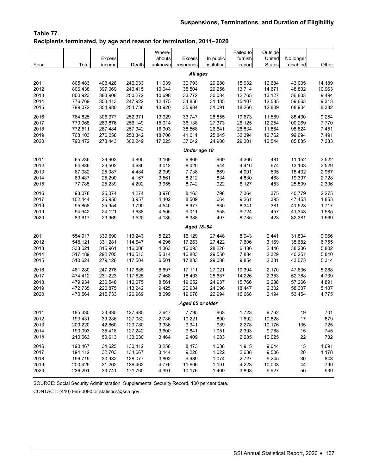## **Table 77. Recipients terminated, by age and reason for termination, 2011–2020**

|      |              |                         |         | Where-<br>abouts |                            | In public   | Failed to         | Outside<br>United |                       |        |  |  |  |
|------|--------------|-------------------------|---------|------------------|----------------------------|-------------|-------------------|-------------------|-----------------------|--------|--|--|--|
| Year | Total        | <b>Excess</b><br>income | Death   | unknown          | <b>Excess</b><br>resources | institution | furnish<br>report | <b>States</b>     | No longer<br>disabled | Other  |  |  |  |
|      |              |                         |         |                  | All ages                   |             |                   |                   |                       |        |  |  |  |
| 2011 | 805,483      | 403,428                 | 246,033 | 11,039           | 30,793                     | 29,280      | 15,032            | 12,684            | 43,005                | 14,189 |  |  |  |
| 2012 | 806,438      | 397,069                 | 246,415 | 10,044           | 35,504                     | 29,256      | 13,714            | 14,671            | 48,802                | 10,963 |  |  |  |
| 2013 | 800,923      | 383,908                 | 250,272 | 10,698           | 33,772                     | 30,084      | 12,765            | 13,127            | 56,803                | 9,494  |  |  |  |
| 2014 | 776,769      | 353,413                 | 247,922 | 12,475           | 34,856                     | 31,435      | 15,107            | 12,585            | 59,663                | 9,313  |  |  |  |
| 2015 | 799,072      | 354,980                 | 254,736 | 13,920           | 35,984                     | 31,091      | 18,266            | 12,809            | 68,904                | 8,382  |  |  |  |
| 2016 | 764.825      | 306.977                 | 252,371 | 13,929           | 33,747                     | 28,855      | 19,673            | 11,589            | 88,430                | 9,254  |  |  |  |
| 2017 | 770,968      | 289,876                 | 256,149 | 15,014           | 36,138                     | 27,373      | 26,125            | 12,254            | 100,269               | 7,770  |  |  |  |
| 2018 | 772,511      | 287,484                 | 257,942 | 16,903           | 38,568                     | 26,641      | 26,834            | 11,864            | 98,824                | 7,451  |  |  |  |
| 2019 | 768,103      | 276,258                 | 253,342 | 18,706           | 41,611                     | 25,845      | 32,394            | 12,762            | 99,694                | 7,491  |  |  |  |
| 2020 | 790,472      | 273,443                 | 302,249 | 17,225           | 37,642                     | 24,900      | 29,301            | 12,544            | 85,885                | 7,283  |  |  |  |
|      | Under age 18 |                         |         |                  |                            |             |                   |                   |                       |        |  |  |  |
| 2011 | 65,236       | 29,903                  | 4,805   | 3,169            | 6,869                      | 969         | 4,366             | 481               | 11,152                | 3,522  |  |  |  |
| 2012 | 64,886       | 26,502                  | 4,686   | 3,012            | 8,020                      | 944         | 4,416             | 674               | 13,103                | 3,529  |  |  |  |
| 2013 | 67,082       | 25,087                  | 4,484   | 2,999            | 7,738                      | 869         | 4,001             | 505               | 18,432                | 2,967  |  |  |  |
| 2014 | 69,487       | 25,290                  | 4,167   | 3,561            | 8,212                      | 834         | 4,830             | 468               | 19,397                | 2,728  |  |  |  |
| 2015 | 77,785       | 25,239                  | 4,202   | 3,955            | 8,742                      | 922         | 6,127             | 453               | 25,809                | 2,336  |  |  |  |
| 2016 | 93,078       | 25.074                  | 4,274   | 3,976            | 8,163                      | 798         | 7,364             | 375               | 40.779                | 2,275  |  |  |  |
| 2017 | 102,444      | 25,950                  | 3,957   | 4,402            | 8,509                      | 664         | 9,261             | 395               | 47,453                | 1,853  |  |  |  |
| 2018 | 95,858       | 25,954                  | 3,790   | 4,540            | 8,977                      | 630         | 8,341             | 381               | 41,528                | 1,717  |  |  |  |
| 2019 | 94,942       | 24,121                  | 3,638   | 4,505            | 9,011                      | 558         | 9,724             | 457               | 41,343                | 1,585  |  |  |  |
| 2020 | 83,617       | 23,969                  | 3,520   | 4,135            | 8,388                      | 497         | 8,735             | 423               | 32,381                | 1,569  |  |  |  |
|      |              |                         |         |                  | Aged 18-64                 |             |                   |                   |                       |        |  |  |  |
| 2011 | 554,917      | 339,690                 | 113,243 | 5,223            | 16,129                     | 27,448      | 8,943             | 2,441             | 31,834                | 9,966  |  |  |  |
| 2012 | 548,121      | 331,281                 | 114,647 | 4,296            | 17,263                     | 27,422      | 7,606             | 3,169             | 35,682                | 6,755  |  |  |  |
| 2013 | 533,621      | 315,961                 | 116,008 | 4,363            | 16,093                     | 28,226      | 6,486             | 2,446             | 38,236                | 5,802  |  |  |  |
| 2014 | 517,189      | 292,705                 | 116,513 | 5,314            | 16,803                     | 29,550      | 7,884             | 2,329             | 40,251                | 5,840  |  |  |  |
| 2015 | 510,624      | 279,128                 | 117,504 | 6,501            | 17,833                     | 29,086      | 9,854             | 2,331             | 43,073                | 5,314  |  |  |  |
| 2016 | 481,280      | 247,278                 | 117,685 | 6,697            | 17,111                     | 27,021      | 10,394            | 2,170             | 47,636                | 5,288  |  |  |  |
| 2017 | 474,412      | 231,223                 | 117,525 | 7,468            | 18,403                     | 25,687      | 14,226            | 2,353             | 52,788                | 4,739  |  |  |  |
| 2018 | 479.934      | 230,548                 | 116,075 | 8,561            | 19.652                     | 24,937      | 15,766            | 2,238             | 57,266                | 4,891  |  |  |  |
| 2019 | 472,735      | 220,875                 | 113,242 | 9,425            | 20,934                     | 24,096      | 18,447            | 2,302             | 58,307                | 5,107  |  |  |  |
| 2020 | 470,564      | 215,733                 | 126,969 | 8,699            | 19,078                     | 22,994      | 16,668            | 2,194             | 53,454                | 4,775  |  |  |  |
|      |              |                         |         |                  | Aged 65 or older           |             |                   |                   |                       |        |  |  |  |
| 2011 | 185,330      | 33,835                  | 127,985 | 2,647            | 7,795                      | 863         | 1,723             | 9.762             | 19                    | 701    |  |  |  |
| 2012 | 193,431      | 39,286                  | 127,082 | 2,736            | 10,221                     | 890         | 1,692             | 10,828            | 17                    | 679    |  |  |  |
| 2013 | 200,220      | 42,860                  | 129,780 | 3,336            | 9,941                      | 989         | 2,278             | 10,176            | 135                   | 725    |  |  |  |
| 2014 | 190,093      | 35,418                  | 127,242 | 3,600            | 9,841                      | 1,051       | 2,393             | 9,788             | 15                    | 745    |  |  |  |
| 2015 | 210,663      | 50,613                  | 133,030 | 3,464            | 9,409                      | 1,083       | 2,285             | 10,025            | 22                    | 732    |  |  |  |
| 2016 | 190,467      | 34,625                  | 130,412 | 3,256            | 8,473                      | 1,036       | 1,915             | 9,044             | 15                    | 1,691  |  |  |  |
| 2017 | 194,112      | 32,703                  | 134,667 | 3,144            | 9,226                      | 1,022       | 2,638             | 9,506             | 28                    | 1,178  |  |  |  |
| 2018 | 196,719      | 30,982                  | 138,077 | 3,802            | 9,939                      | 1,074       | 2,727             | 9,245             | 30                    | 843    |  |  |  |
| 2019 | 200,426      | 31,262                  | 136,462 | 4,776            | 11,666                     | 1,191       | 4,223             | 10,003            | 44                    | 799    |  |  |  |
| 2020 | 236,291      | 33,741                  | 171,760 | 4,391            | 10,176                     | 1,409       | 3,898             | 9,927             | 50                    | 939    |  |  |  |

SOURCE: Social Security Administration, Supplemental Security Record, 100 percent data.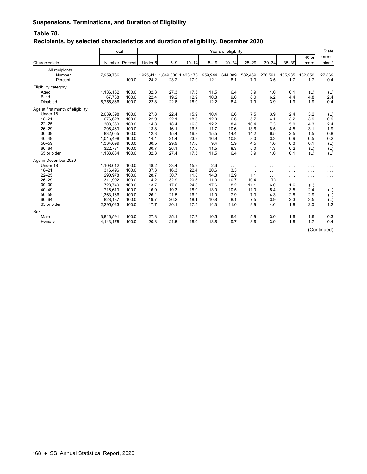## **Table 78.**

## **Recipients, by selected characteristics and duration of eligibility, December 2020**

|                                   | Total       |                | Years of eligibility                   |         |           |           |           |                      |           |           |                      |                   |  |
|-----------------------------------|-------------|----------------|----------------------------------------|---------|-----------|-----------|-----------|----------------------|-----------|-----------|----------------------|-------------------|--|
|                                   |             |                |                                        |         |           |           |           |                      |           |           | 40 or                | conver-           |  |
| Characteristic                    |             | Number Percent | Under 5                                | $5 - 9$ | $10 - 14$ | $15 - 19$ | $20 - 24$ | $25 - 29$            | $30 - 34$ | $35 - 39$ | more                 | sion <sup>a</sup> |  |
| All recipients                    |             |                |                                        |         |           |           |           |                      |           |           |                      |                   |  |
| Number                            | 7,959,766   |                | $\ldots$ 1,925,411 1,849,330 1,423,178 |         |           | 959,944   | 644,389   | 582,469              | 278,591   | 135,935   | 132,650              | 27,869            |  |
| Percent                           | $\cdots$    | 100.0          | 24.2                                   | 23.2    | 17.9      | 12.1      | 8.1       | 7.3                  | 3.5       | 1.7       | 1.7                  | 0.4               |  |
| Eligibility category              |             |                |                                        |         |           |           |           |                      |           |           |                      |                   |  |
| Aged                              | 1,136,162   | 100.0          | 32.3                                   | 27.3    | 17.5      | 11.5      | 6.4       | 3.9                  | 1.0       | 0.1       | (L)                  | (L)               |  |
| <b>Blind</b>                      | 67,738      | 100.0          | 22.4                                   | 19.2    | 12.9      | 10.8      | 9.0       | 8.0                  | 6.2       | 4.4       | 4.8                  | 2.4               |  |
| <b>Disabled</b>                   | 6,755,866   | 100.0          | 22.8                                   | 22.6    | 18.0      | 12.2      | 8.4       | 7.9                  | 3.9       | 1.9       | 1.9                  | 0.4               |  |
| Age at first month of eligibility |             |                |                                        |         |           |           |           |                      |           |           |                      |                   |  |
| Under 18                          | 2,039,398   | 100.0          | 27.8                                   | 22.4    | 15.9      | 10.4      | 6.6       | 7.5                  | 3.9       | 2.4       | 3.2                  | (L)               |  |
| $18 - 21$                         | 676.628     | 100.0          | 22.9                                   | 22.1    | 18.6      | 12.0      | 6.6       | 5.7                  | 4.1       | 3.2       | 3.9                  | 0.9               |  |
| $22 - 25$                         | 308,360     | 100.0          | 14.8                                   | 18.4    | 16.8      | 12.2      | 8.4       | 10.4                 | 7.3       | 5.0       | 4.3                  | 2.4               |  |
| $26 - 29$                         | 296,463     | 100.0          | 13.8                                   | 16.1    | 16.3      | 11.7      | 10.6      | 13.6                 | 8.5       | 4.5       | 3.1                  | 1.9               |  |
| $30 - 39$                         | 832,055     | 100.0          | 12.3                                   | 15.4    | 16.8      | 15.5      | 14.4      | 14.2                 | 6.5       | 2.5       | 1.5                  | 0.8               |  |
| $40 - 49$                         | 1,015,498   | 100.0          | 14.1                                   | 21.4    | 23.9      | 16.9      | 10.8      | 8.0                  | 3.3       | 0.9       | 0.5                  | 0.2               |  |
| $50 - 59$                         | 1,334,699   | 100.0          | 30.5                                   | 29.9    | 17.8      | 9.4       | 5.9       | 4.5                  | 1.6       | 0.3       | 0.1                  | (L)               |  |
| $60 - 64$                         | 322,781     | 100.0          | 30.7                                   | 26.1    | 17.0      | 11.5      | 8.3       | 5.0                  | 1.3       | 0.2       | (L)                  | (L)               |  |
| 65 or older                       | 1,133,884   | 100.0          | 32.3                                   | 27.4    | 17.5      | 11.5      | 6.4       | 3.9                  | 1.0       | 0.1       | (L)                  | (L)               |  |
| Age in December 2020              |             |                |                                        |         |           |           |           |                      |           |           |                      |                   |  |
| Under 18                          | 1,108,612   | 100.0          | 48.2                                   | 33.4    | 15.9      | 2.6       | $\cdots$  | $\cdots$             | $\cdots$  | .         | .                    | $\cdots$          |  |
| $18 - 21$                         | 316,496     | 100.0          | 37.3                                   | 16.3    | 22.4      | 20.6      | 3.3       | $\sim$ $\sim$ $\sim$ | $\ldots$  | .         | $\cdots$             | $\ldots$          |  |
| $22 - 25$                         | 290.978     | 100.0          | 28.7                                   | 30.7    | 11.8      | 14.8      | 12.9      | 1.1                  | $\ldots$  | .         | $\sim$ $\sim$ $\sim$ | $\cdots$          |  |
| $26 - 29$                         | 311.992     | 100.0          | 14.2                                   | 32.9    | 20.8      | 11.0      | 10.7      | 10.4                 | (L)       | .         | $\cdots$             | $\ldots$          |  |
| $30 - 39$                         | 728,749     | 100.0          | 13.7                                   | 17.6    | 24.3      | 17.6      | 8.2       | 11.1                 | 6.0       | 1.6       | (L)                  | $\cdots$          |  |
| $40 - 49$                         | 716,613     | 100.0          | 16.9                                   | 19.3    | 18.0      | 13.0      | 10.5      | 11.0                 | 5.4       | 3.5       | 2.4                  | (L)               |  |
| $50 - 59$                         | 1,363,166   | 100.0          | 26.1                                   | 21.5    | 16.2      | 11.0      | 7.9       | 7.3                  | 4.3       | 2.8       | 2.9                  | (L)               |  |
| $60 - 64$                         | 828.137     | 100.0          | 19.7                                   | 26.2    | 18.1      | 10.8      | 8.1       | 7.5                  | 3.9       | 2.3       | 3.5                  | (L)               |  |
| 65 or older                       | 2,295,023   | 100.0          | 17.7                                   | 20.1    | 17.5      | 14.3      | 11.0      | 9.9                  | 4.6       | 1.8       | 2.0                  | 1.2               |  |
| Sex                               |             |                |                                        |         |           |           |           |                      |           |           |                      |                   |  |
| Male                              | 3,816,591   | 100.0          | 27.8                                   | 25.1    | 17.7      | 10.5      | 6.4       | 5.9                  | 3.0       | 1.6       | 1.6                  | 0.3               |  |
| Female                            | 4, 143, 175 | 100.0          | 20.8                                   | 21.5    | 18.0      | 13.5      | 9.7       | 8.6                  | 3.9       | 1.8       | 1.7                  | 0.4               |  |
|                                   |             |                |                                        |         |           |           |           |                      |           |           |                      | (Continued)       |  |